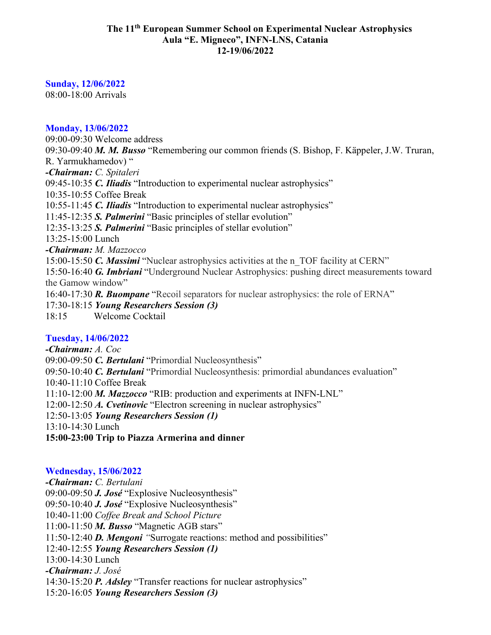#### **The 11th European Summer School on Experimental Nuclear Astrophysics Aula "E. Migneco", INFN-LNS, Catania 12-19/06/2022**

## **Sunday, 12/06/2022**

08:00-18:00 Arrivals

### **Monday, 13/06/2022**

09:00-09:30 Welcome address 09:30-09:40 *M. M. Busso* "Remembering our common friends (S. Bishop, F. Käppeler, J.W. Truran, R. Yarmukhamedov) " *-Chairman: C. Spitaleri* 09:45-10:35 *C. Iliadis* "Introduction to experimental nuclear astrophysics" 10:35-10:55 Coffee Break 10:55-11:45 *C. Iliadis* "Introduction to experimental nuclear astrophysics" 11:45-12:35 *S. Palmerini* "Basic principles of stellar evolution" 12:35-13:25 *S. Palmerini* "Basic principles of stellar evolution" 13:25-15:00 Lunch *-Chairman: M. Mazzocco* 15:00-15:50 *C. Massimi* "Nuclear astrophysics activities at the n\_TOF facility at CERN" 15:50-16:40 *G. Imbriani* "Underground Nuclear Astrophysics: pushing direct measurements toward the Gamow window" 16:40-17:30 *R. Buompane* "Recoil separators for nuclear astrophysics: the role of ERNA" 17:30-18:15 *Young Researchers Session (3)* 18:15 Welcome Cocktail

# **Tuesday, 14/06/2022**

*-Chairman: A. Coc* 09:00-09:50 *C. Bertulani* "Primordial Nucleosynthesis" 09:50-10:40 *C. Bertulani* "Primordial Nucleosynthesis: primordial abundances evaluation" 10:40-11:10 Coffee Break 11:10-12:00 *M. Mazzocco* "RIB: production and experiments at INFN-LNL" 12:00-12:50 *A. Cvetinovic* "Electron screening in nuclear astrophysics" 12:50-13:05 *Young Researchers Session (1)* 13:10-14:30 Lunch **15:00-23:00 Trip to Piazza Armerina and dinner**

#### **Wednesday, 15/06/2022**

*-Chairman: C. Bertulani* 09:00-09:50 *J. José* "Explosive Nucleosynthesis" 09:50-10:40 *J. José* "Explosive Nucleosynthesis" 10:40-11:00 *Coffee Break and School Picture* 11:00-11:50 *M. Busso* "Magnetic AGB stars" 11:50-12:40 *D. Mengoni "*Surrogate reactions: method and possibilities" 12:40-12:55 *Young Researchers Session (1)* 13:00-14:30 Lunch *-Chairman: J. José* 14:30-15:20 *P. Adsley* "Transfer reactions for nuclear astrophysics" 15:20-16:05 *Young Researchers Session (3)*